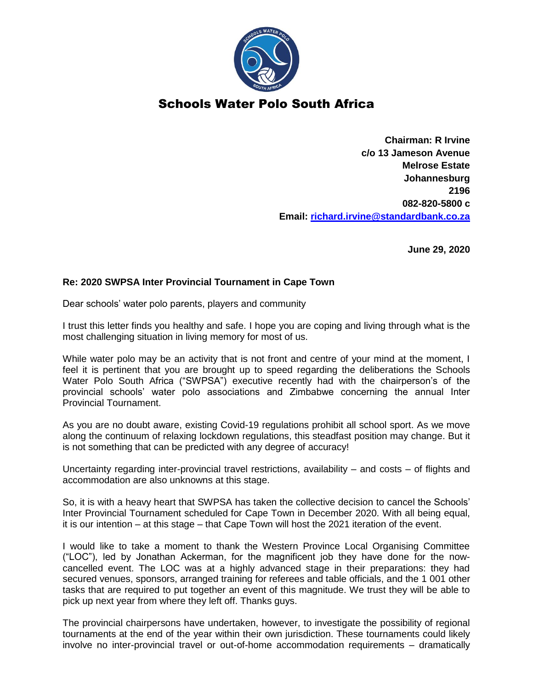

## Schools Water Polo South Africa

**Chairman: R Irvine c/o 13 Jameson Avenue Melrose Estate Johannesburg 2196 082-820-5800 c Email: [richard.irvine@standardbank.co.za](mailto:richard.irvine@standardbank.co.za)**

**June 29, 2020**

## **Re: 2020 SWPSA Inter Provincial Tournament in Cape Town**

Dear schools' water polo parents, players and community

I trust this letter finds you healthy and safe. I hope you are coping and living through what is the most challenging situation in living memory for most of us.

While water polo may be an activity that is not front and centre of your mind at the moment, I feel it is pertinent that you are brought up to speed regarding the deliberations the Schools Water Polo South Africa ("SWPSA") executive recently had with the chairperson's of the provincial schools' water polo associations and Zimbabwe concerning the annual Inter Provincial Tournament.

As you are no doubt aware, existing Covid-19 regulations prohibit all school sport. As we move along the continuum of relaxing lockdown regulations, this steadfast position may change. But it is not something that can be predicted with any degree of accuracy!

Uncertainty regarding inter-provincial travel restrictions, availability – and costs – of flights and accommodation are also unknowns at this stage.

So, it is with a heavy heart that SWPSA has taken the collective decision to cancel the Schools' Inter Provincial Tournament scheduled for Cape Town in December 2020. With all being equal, it is our intention – at this stage – that Cape Town will host the 2021 iteration of the event.

I would like to take a moment to thank the Western Province Local Organising Committee ("LOC"), led by Jonathan Ackerman, for the magnificent job they have done for the nowcancelled event. The LOC was at a highly advanced stage in their preparations: they had secured venues, sponsors, arranged training for referees and table officials, and the 1 001 other tasks that are required to put together an event of this magnitude. We trust they will be able to pick up next year from where they left off. Thanks guys.

The provincial chairpersons have undertaken, however, to investigate the possibility of regional tournaments at the end of the year within their own jurisdiction. These tournaments could likely involve no inter-provincial travel or out-of-home accommodation requirements – dramatically